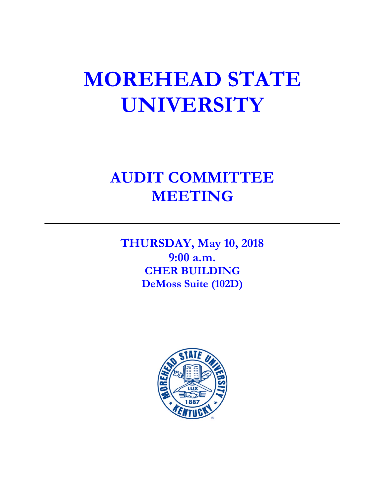# **MOREHEAD STATE UNIVERSITY**

# **AUDIT COMMITTEE MEETING**

**THURSDAY, May 10, 2018 9:00 a.m. CHER BUILDING DeMoss Suite (102D)**

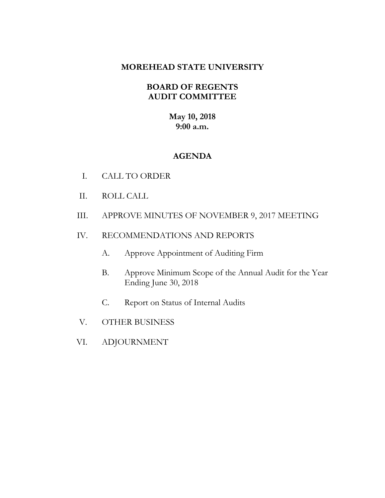# **MOREHEAD STATE UNIVERSITY**

# **BOARD OF REGENTS AUDIT COMMITTEE**

**May 10, 2018 9:00 a.m.**

# **AGENDA**

- I. CALL TO ORDER
- II. ROLL CALL
- III. APPROVE MINUTES OF NOVEMBER 9, 2017 MEETING
- IV. RECOMMENDATIONS AND REPORTS
	- A. Approve Appointment of Auditing Firm
	- B. Approve Minimum Scope of the Annual Audit for the Year Ending June 30, 2018
	- C. Report on Status of Internal Audits
- V. OTHER BUSINESS
- VI. ADJOURNMENT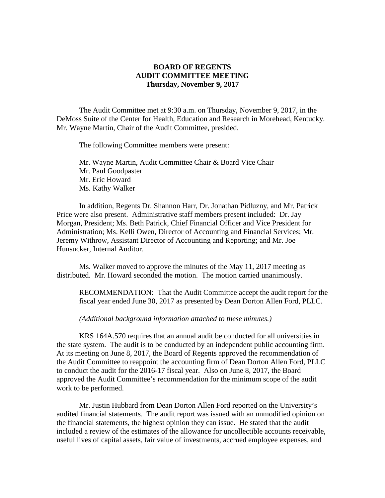#### **BOARD OF REGENTS AUDIT COMMITTEE MEETING Thursday, November 9, 2017**

The Audit Committee met at 9:30 a.m. on Thursday, November 9, 2017, in the DeMoss Suite of the Center for Health, Education and Research in Morehead, Kentucky. Mr. Wayne Martin, Chair of the Audit Committee, presided.

The following Committee members were present:

Mr. Wayne Martin, Audit Committee Chair & Board Vice Chair Mr. Paul Goodpaster Mr. Eric Howard Ms. Kathy Walker

In addition, Regents Dr. Shannon Harr, Dr. Jonathan Pidluzny, and Mr. Patrick Price were also present. Administrative staff members present included: Dr. Jay Morgan, President; Ms. Beth Patrick, Chief Financial Officer and Vice President for Administration; Ms. Kelli Owen, Director of Accounting and Financial Services; Mr. Jeremy Withrow, Assistant Director of Accounting and Reporting; and Mr. Joe Hunsucker, Internal Auditor.

Ms. Walker moved to approve the minutes of the May 11, 2017 meeting as distributed. Mr. Howard seconded the motion. The motion carried unanimously.

RECOMMENDATION: That the Audit Committee accept the audit report for the fiscal year ended June 30, 2017 as presented by Dean Dorton Allen Ford, PLLC.

*(Additional background information attached to these minutes.)*

KRS 164A.570 requires that an annual audit be conducted for all universities in the state system. The audit is to be conducted by an independent public accounting firm. At its meeting on June 8, 2017, the Board of Regents approved the recommendation of the Audit Committee to reappoint the accounting firm of Dean Dorton Allen Ford, PLLC to conduct the audit for the 2016-17 fiscal year. Also on June 8, 2017, the Board approved the Audit Committee's recommendation for the minimum scope of the audit work to be performed.

Mr. Justin Hubbard from Dean Dorton Allen Ford reported on the University's audited financial statements. The audit report was issued with an unmodified opinion on the financial statements, the highest opinion they can issue. He stated that the audit included a review of the estimates of the allowance for uncollectible accounts receivable, useful lives of capital assets, fair value of investments, accrued employee expenses, and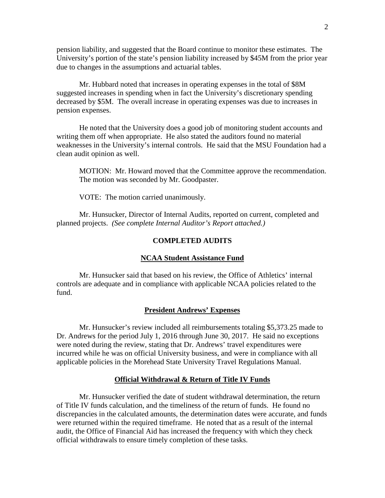pension liability, and suggested that the Board continue to monitor these estimates. The University's portion of the state's pension liability increased by \$45M from the prior year due to changes in the assumptions and actuarial tables.

Mr. Hubbard noted that increases in operating expenses in the total of \$8M suggested increases in spending when in fact the University's discretionary spending decreased by \$5M. The overall increase in operating expenses was due to increases in pension expenses.

He noted that the University does a good job of monitoring student accounts and writing them off when appropriate. He also stated the auditors found no material weaknesses in the University's internal controls. He said that the MSU Foundation had a clean audit opinion as well.

MOTION: Mr. Howard moved that the Committee approve the recommendation. The motion was seconded by Mr. Goodpaster.

VOTE: The motion carried unanimously.

Mr. Hunsucker, Director of Internal Audits, reported on current, completed and planned projects. *(See complete Internal Auditor's Report attached.)*

#### **COMPLETED AUDITS**

#### **NCAA Student Assistance Fund**

Mr. Hunsucker said that based on his review, the Office of Athletics' internal controls are adequate and in compliance with applicable NCAA policies related to the fund.

#### **President Andrews' Expenses**

Mr. Hunsucker's review included all reimbursements totaling \$5,373.25 made to Dr. Andrews for the period July 1, 2016 through June 30, 2017. He said no exceptions were noted during the review, stating that Dr. Andrews' travel expenditures were incurred while he was on official University business, and were in compliance with all applicable policies in the Morehead State University Travel Regulations Manual.

#### **Official Withdrawal & Return of Title IV Funds**

Mr. Hunsucker verified the date of student withdrawal determination, the return of Title IV funds calculation, and the timeliness of the return of funds. He found no discrepancies in the calculated amounts, the determination dates were accurate, and funds were returned within the required timeframe. He noted that as a result of the internal audit, the Office of Financial Aid has increased the frequency with which they check official withdrawals to ensure timely completion of these tasks.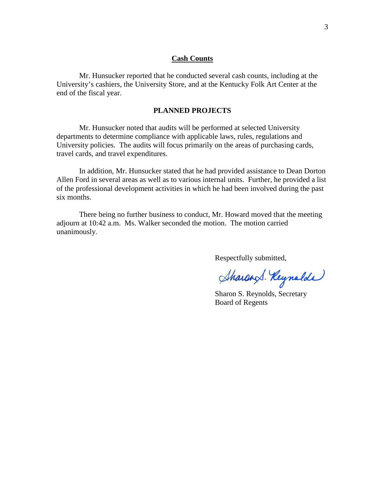#### **Cash Counts**

Mr. Hunsucker reported that he conducted several cash counts, including at the University's cashiers, the University Store, and at the Kentucky Folk Art Center at the end of the fiscal year.

#### **PLANNED PROJECTS**

Mr. Hunsucker noted that audits will be performed at selected University departments to determine compliance with applicable laws, rules, regulations and University policies. The audits will focus primarily on the areas of purchasing cards, travel cards, and travel expenditures.

In addition, Mr. Hunsucker stated that he had provided assistance to Dean Dorton Allen Ford in several areas as well as to various internal units. Further, he provided a list of the professional development activities in which he had been involved during the past six months.

There being no further business to conduct, Mr. Howard moved that the meeting adjourn at 10:42 a.m. Ms. Walker seconded the motion. The motion carried unanimously.

Respectfully submitted,

Sharand. Reynolde

Sharon S. Reynolds, Secretary Board of Regents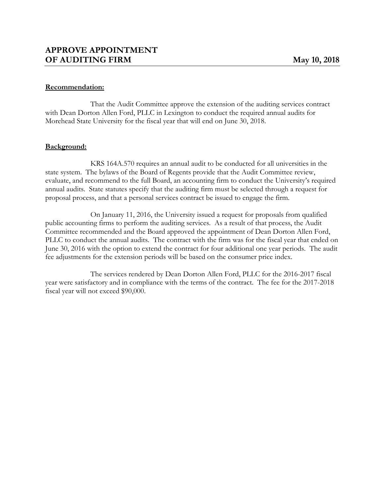#### **Recommendation:**

That the Audit Committee approve the extension of the auditing services contract with Dean Dorton Allen Ford, PLLC in Lexington to conduct the required annual audits for Morehead State University for the fiscal year that will end on June 30, 2018.

#### **Background:**

KRS 164A.570 requires an annual audit to be conducted for all universities in the state system. The bylaws of the Board of Regents provide that the Audit Committee review, evaluate, and recommend to the full Board, an accounting firm to conduct the University's required annual audits. State statutes specify that the auditing firm must be selected through a request for proposal process, and that a personal services contract be issued to engage the firm.

On January 11, 2016, the University issued a request for proposals from qualified public accounting firms to perform the auditing services. As a result of that process, the Audit Committee recommended and the Board approved the appointment of Dean Dorton Allen Ford, PLLC to conduct the annual audits. The contract with the firm was for the fiscal year that ended on June 30, 2016 with the option to extend the contract for four additional one year periods. The audit fee adjustments for the extension periods will be based on the consumer price index.

The services rendered by Dean Dorton Allen Ford, PLLC for the 2016-2017 fiscal year were satisfactory and in compliance with the terms of the contract. The fee for the 2017-2018 fiscal year will not exceed \$90,000.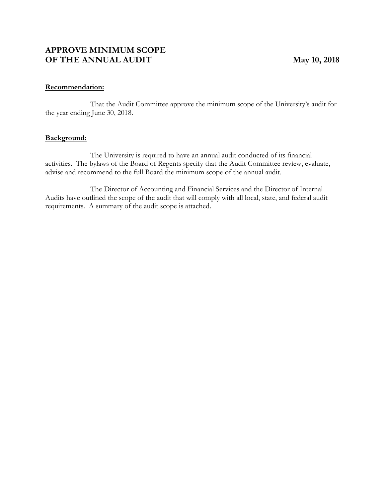#### **Recommendation:**

That the Audit Committee approve the minimum scope of the University's audit for the year ending June 30, 2018.

#### **Background:**

The University is required to have an annual audit conducted of its financial activities. The bylaws of the Board of Regents specify that the Audit Committee review, evaluate, advise and recommend to the full Board the minimum scope of the annual audit.

The Director of Accounting and Financial Services and the Director of Internal Audits have outlined the scope of the audit that will comply with all local, state, and federal audit requirements. A summary of the audit scope is attached.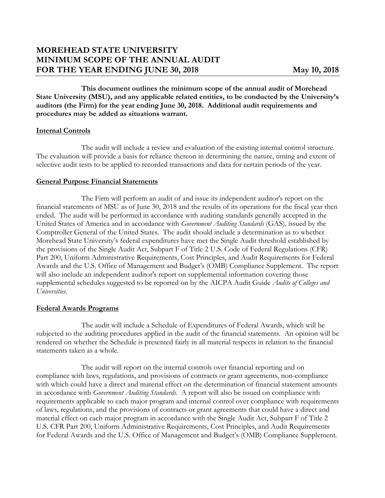# **MOREHEAD STATE UNIVERSITY MINIMUM SCOPE OF THE ANNUAL AUDIT FOR THE YEAR ENDING JUNE 30, 2018 May 10, 2018**

**This document outlines the minimum scope of the annual audit of Morehead State University (MSU), and any applicable related entities, to be conducted by the University's auditors (the Firm) for the year ending June 30, 2018. Additional audit requirements and procedures may be added as situations warrant.**

#### **Internal Controls**

The audit will include a review and evaluation of the existing internal control structure. The evaluation will provide a basis for reliance thereon in determining the nature, timing and extent of selective audit tests to be applied to recorded transactions and data for certain periods of the year.

#### **General Purpose Financial Statements**

The Firm will perform an audit of and issue its independent auditor's report on the financial statements of MSU as of June 30, 2018 and the results of its operations for the fiscal year then ended. The audit will be performed in accordance with auditing standards generally accepted in the United States of America and in accordance with *Government Auditing Standards* (GAS), issued by the Comptroller General of the United States. The audit should include a determination as to whether Morehead State University's federal expenditures have met the Single Audit threshold established by the provisions of the Single Audit Act, Subpart F of Title 2 U.S. Code of Federal Regulations (CFR) Part 200, Uniform Administrative Requirements, Cost Principles, and Audit Requirements for Federal Awards and the U.S. Office of Management and Budget's (OMB) Compliance Supplement. The report will also include an independent auditor's report on supplemental information covering those supplemental schedules suggested to be reported on by the AICPA Audit Guide *Audits of Colleges and Universities*.

#### **Federal Awards Programs**

The audit will include a Schedule of Expenditures of Federal Awards, which will be subjected to the auditing procedures applied in the audit of the financial statements. An opinion will be rendered on whether the Schedule is presented fairly in all material respects in relation to the financial statements taken as a whole.

The audit will report on the internal controls over financial reporting and on compliance with laws, regulations, and provisions of contracts or grant agreements, non-compliance with which could have a direct and material effect on the determination of financial statement amounts in accordance with *Government Auditing Standards.* A report will also be issued on compliance with requirements applicable to each major program and internal control over compliance with requirements of laws, regulations, and the provisions of contracts or grant agreements that could have a direct and material effect on each major program in accordance with the Single Audit Act, Subpart F of Title 2 U.S. CFR Part 200, Uniform Administrative Requirements, Cost Principles, and Audit Requirements for Federal Awards and the U.S. Office of Management and Budget's (OMB) Compliance Supplement*.*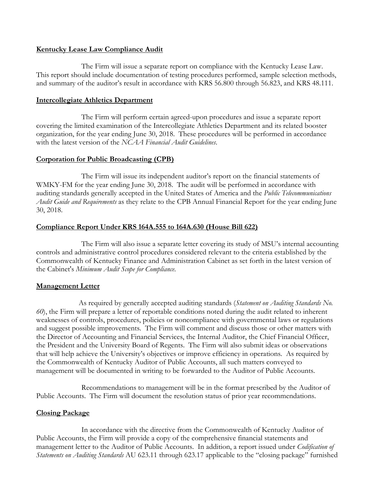#### **Kentucky Lease Law Compliance Audit**

The Firm will issue a separate report on compliance with the Kentucky Lease Law. This report should include documentation of testing procedures performed, sample selection methods, and summary of the auditor's result in accordance with KRS 56.800 through 56.823, and KRS 48.111.

#### **Intercollegiate Athletics Department**

The Firm will perform certain agreed-upon procedures and issue a separate report covering the limited examination of the Intercollegiate Athletics Department and its related booster organization, for the year ending June 30, 2018. These procedures will be performed in accordance with the latest version of the *NCAA Financial Audit Guidelines*.

#### **Corporation for Public Broadcasting (CPB)**

The Firm will issue its independent auditor's report on the financial statements of WMKY-FM for the year ending June 30, 2018. The audit will be performed in accordance with auditing standards generally accepted in the United States of America and the *Public Telecommunications Audit Guide and Requirements* as they relate to the CPB Annual Financial Report for the year ending June 30, 2018.

#### **Compliance Report Under KRS 164A.555 to 164A.630 (House Bill 622)**

The Firm will also issue a separate letter covering its study of MSU's internal accounting controls and administrative control procedures considered relevant to the criteria established by the Commonwealth of Kentucky Finance and Administration Cabinet as set forth in the latest version of the Cabinet's *Minimum Audit Scope for Compliance*.

#### **Management Letter**

As required by generally accepted auditing standards (*Statement on Auditing Standards No. 60*), the Firm will prepare a letter of reportable conditions noted during the audit related to inherent weaknesses of controls, procedures, policies or noncompliance with governmental laws or regulations and suggest possible improvements. The Firm will comment and discuss those or other matters with the Director of Accounting and Financial Services, the Internal Auditor, the Chief Financial Officer, the President and the University Board of Regents. The Firm will also submit ideas or observations that will help achieve the University's objectives or improve efficiency in operations. As required by the Commonwealth of Kentucky Auditor of Public Accounts, all such matters conveyed to management will be documented in writing to be forwarded to the Auditor of Public Accounts.

Recommendations to management will be in the format prescribed by the Auditor of Public Accounts. The Firm will document the resolution status of prior year recommendations.

#### **Closing Package**

In accordance with the directive from the Commonwealth of Kentucky Auditor of Public Accounts, the Firm will provide a copy of the comprehensive financial statements and management letter to the Auditor of Public Accounts. In addition, a report issued under *Codification of Statements on Auditing Standards* AU 623.11 through 623.17 applicable to the "closing package" furnished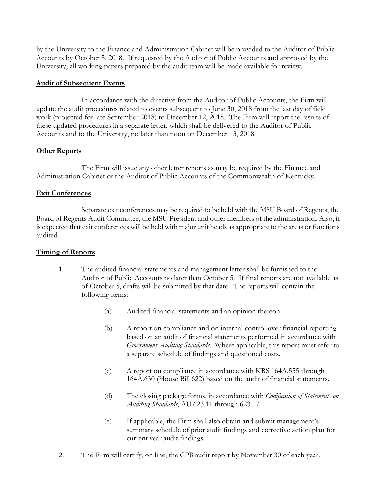by the University to the Finance and Administration Cabinet will be provided to the Auditor of Public Accounts by October 5, 2018. If requested by the Auditor of Public Accounts and approved by the University, all working papers prepared by the audit team will be made available for review.

#### **Audit of Subsequent Events**

In accordance with the directive from the Auditor of Public Accounts, the Firm will update the audit procedures related to events subsequent to June 30, 2018 from the last day of field work (projected for late September 2018) to December 12, 2018. The Firm will report the results of these updated procedures in a separate letter, which shall be delivered to the Auditor of Public Accounts and to the University, no later than noon on December 13, 2018.

# **Other Reports**

The Firm will issue any other letter reports as may be required by the Finance and Administration Cabinet or the Auditor of Public Accounts of the Commonwealth of Kentucky.

# **Exit Conferences**

Separate exit conferences may be required to be held with the MSU Board of Regents, the Board of Regents Audit Committee, the MSU President and other members of the administration. Also, it is expected that exit conferences will be held with major unit heads as appropriate to the areas or functions audited.

# **Timing of Reports**

- 1. The audited financial statements and management letter shall be furnished to the Auditor of Public Accounts no later than October 5. If final reports are not available as of October 5, drafts will be submitted by that date. The reports will contain the following items:
	- (a) Audited financial statements and an opinion thereon.
	- (b) A report on compliance and on internal control over financial reporting based on an audit of financial statements performed in accordance with *Government Auditing Standards*. Where applicable, this report must refer to a separate schedule of findings and questioned costs.
	- (c) A report on compliance in accordance with KRS 164A.555 through 164A.630 (House Bill 622) based on the audit of financial statements.
	- (d) The closing package forms, in accordance with *Codification of Statements on Auditing Standards*, AU 623.11 through 623.17.
	- (e) If applicable, the Firm shall also obtain and submit management's summary schedule of prior audit findings and corrective action plan for current year audit findings.
- 2. The Firm will certify, on line, the CPB audit report by November 30 of each year.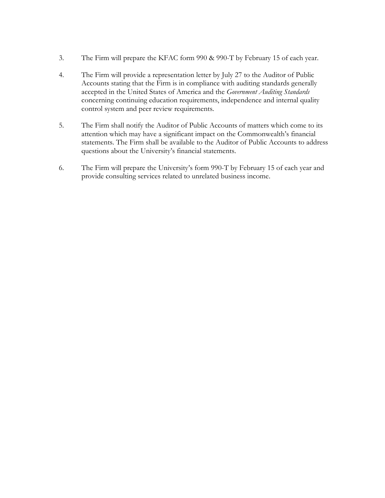- 3. The Firm will prepare the KFAC form 990 & 990-T by February 15 of each year.
- 4. The Firm will provide a representation letter by July 27 to the Auditor of Public Accounts stating that the Firm is in compliance with auditing standards generally accepted in the United States of America and the *Government Auditing Standards* concerning continuing education requirements, independence and internal quality control system and peer review requirements.
- 5. The Firm shall notify the Auditor of Public Accounts of matters which come to its attention which may have a significant impact on the Commonwealth's financial statements. The Firm shall be available to the Auditor of Public Accounts to address questions about the University's financial statements.
- 6. The Firm will prepare the University's form 990-T by February 15 of each year and provide consulting services related to unrelated business income.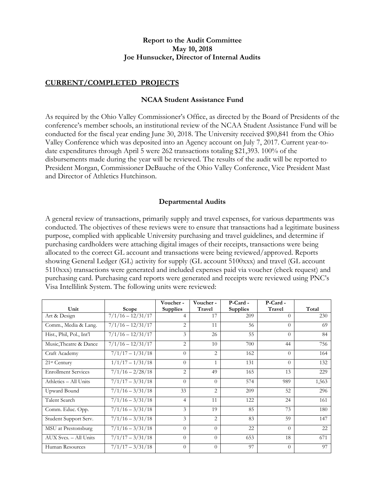#### **Report to the Audit Committee May 10, 2018 Joe Hunsucker, Director of Internal Audits**

#### **CURRENT/COMPLETED PROJECTS**

#### **NCAA Student Assistance Fund**

As required by the Ohio Valley Commissioner's Office, as directed by the Board of Presidents of the conference's member schools, an institutional review of the NCAA Student Assistance Fund will be conducted for the fiscal year ending June 30, 2018. The University received \$90,841 from the Ohio Valley Conference which was deposited into an Agency account on July 7, 2017. Current year-todate expenditures through April 5 were 262 transactions totaling \$21,393. 100% of the disbursements made during the year will be reviewed. The results of the audit will be reported to President Morgan, Commissioner DeBauche of the Ohio Valley Conference, Vice President Mast and Director of Athletics Hutchinson.

#### **Departmental Audits**

A general review of transactions, primarily supply and travel expenses, for various departments was conducted. The objectives of these reviews were to ensure that transactions had a legitimate business purpose, complied with applicable University purchasing and travel guidelines, and determine if purchasing cardholders were attaching digital images of their receipts, transactions were being allocated to the correct GL account and transactions were being reviewed/approved. Reports showing General Ledger (GL) activity for supply (GL account 5100xxx) and travel (GL account 5110xxx) transactions were generated and included expenses paid via voucher (check request) and purchasing card. Purchasing card reports were generated and receipts were reviewed using PNC's Visa Intellilink System. The following units were reviewed:

|                            |                     | Voucher -       | Voucher -      | P-Card-         | P-Card - |       |
|----------------------------|---------------------|-----------------|----------------|-----------------|----------|-------|
| Unit                       | Scope               | <b>Supplies</b> | Travel         | <b>Supplies</b> | Travel   | Total |
| Art & Design               | $7/1/16 - 12/31/17$ | 4               | 17             | 209             | $\Omega$ | 230   |
| Comm., Media & Lang.       | $7/1/16 - 12/31/17$ | 2               | 11             | 56              | $\Omega$ | 69    |
| Hist., Phil, Pol., Int'l   | $7/1/16 - 12/31/17$ | 3               | 26             | 55              | $\Omega$ | 84    |
| Music, Theatre & Dance     | $7/1/16 - 12/31/17$ | $\overline{2}$  | 10             | 700             | 44       | 756   |
| Craft Academy              | $7/1/17 - 1/31/18$  | $\Omega$        | 2              | 162             | $\Omega$ | 164   |
| 21st Century               | $1/1/17 - 1/31/18$  | $\Omega$        | $\mathbf{1}$   | 131             | $\Omega$ | 132   |
| <b>Enrollment Services</b> | $7/1/16 - 2/28/18$  | 2               | 49             | 165             | 13       | 229   |
| Athletics - All Units      | $7/1/17 - 3/31/18$  | $\theta$        | $\Omega$       | 574             | 989      | 1,563 |
| Upward Bound               | $7/1/16 - 3/31/18$  | 33              | $\mathfrak{D}$ | 209             | 52       | 296   |
| Talent Search              | $7/1/16 - 3/31/18$  | $\overline{4}$  | 11             | 122             | 24       | 161   |
| Comm. Educ. Opp.           | $7/1/16 - 3/31/18$  | 3               | 19             | 85              | 73       | 180   |
| Student Support Serv.      | $7/1/16 - 3/31/18$  | 3               | 2              | 83              | 59       | 147   |
| MSU at Prestonsburg        | $7/1/16 - 3/31/18$  | $\theta$        | $\Omega$       | 22              | $\Omega$ | 22    |
| AUX Svcs. - All Units      | $7/1/17 - 3/31/18$  | $\theta$        | $\Omega$       | 653             | 18       | 671   |
| Human Resources            | $7/1/17 - 3/31/18$  | $\Omega$        | $\Omega$       | 97              | $\Omega$ | 97    |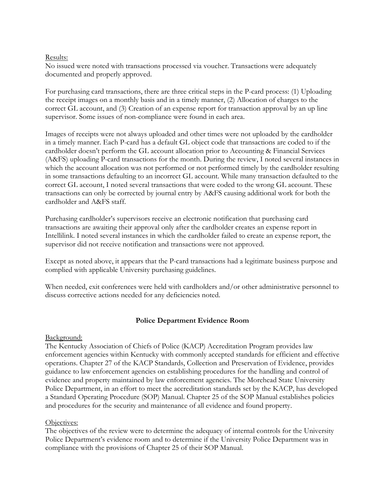#### Results:

No issued were noted with transactions processed via voucher. Transactions were adequately documented and properly approved.

For purchasing card transactions, there are three critical steps in the P-card process: (1) Uploading the receipt images on a monthly basis and in a timely manner, (2) Allocation of charges to the correct GL account, and (3) Creation of an expense report for transaction approval by an up line supervisor. Some issues of non-compliance were found in each area.

Images of receipts were not always uploaded and other times were not uploaded by the cardholder in a timely manner. Each P-card has a default GL object code that transactions are coded to if the cardholder doesn't perform the GL account allocation prior to Accounting & Financial Services (A&FS) uploading P-card transactions for the month. During the review, I noted several instances in which the account allocation was not performed or not performed timely by the cardholder resulting in some transactions defaulting to an incorrect GL account. While many transaction defaulted to the correct GL account, I noted several transactions that were coded to the wrong GL account. These transactions can only be corrected by journal entry by A&FS causing additional work for both the cardholder and A&FS staff.

Purchasing cardholder's supervisors receive an electronic notification that purchasing card transactions are awaiting their approval only after the cardholder creates an expense report in Intellilink. I noted several instances in which the cardholder failed to create an expense report, the supervisor did not receive notification and transactions were not approved.

Except as noted above, it appears that the P-card transactions had a legitimate business purpose and complied with applicable University purchasing guidelines.

When needed, exit conferences were held with cardholders and/or other administrative personnel to discuss corrective actions needed for any deficiencies noted.

#### **Police Department Evidence Room**

#### Background:

The Kentucky Association of Chiefs of Police (KACP) Accreditation Program provides law enforcement agencies within Kentucky with commonly accepted standards for efficient and effective operations. Chapter 27 of the KACP Standards, Collection and Preservation of Evidence, provides guidance to law enforcement agencies on establishing procedures for the handling and control of evidence and property maintained by law enforcement agencies. The Morehead State University Police Department, in an effort to meet the accreditation standards set by the KACP, has developed a Standard Operating Procedure (SOP) Manual. Chapter 25 of the SOP Manual establishes policies and procedures for the security and maintenance of all evidence and found property.

#### Objectives:

The objectives of the review were to determine the adequacy of internal controls for the University Police Department's evidence room and to determine if the University Police Department was in compliance with the provisions of Chapter 25 of their SOP Manual.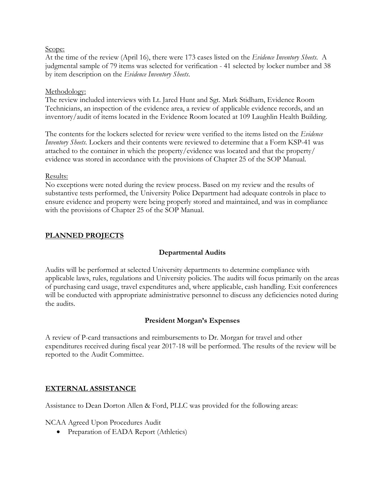#### Scope:

At the time of the review (April 16), there were 173 cases listed on the *Evidence Inventory Sheets*. A judgmental sample of 79 items was selected for verification - 41 selected by locker number and 38 by item description on the *Evidence Inventory Sheets*.

#### Methodology:

The review included interviews with Lt. Jared Hunt and Sgt. Mark Stidham, Evidence Room Technicians, an inspection of the evidence area, a review of applicable evidence records, and an inventory/audit of items located in the Evidence Room located at 109 Laughlin Health Building.

The contents for the lockers selected for review were verified to the items listed on the *Evidence Inventory Sheets.* Lockers and their contents were reviewed to determine that a Form KSP-41 was attached to the container in which the property/evidence was located and that the property/ evidence was stored in accordance with the provisions of Chapter 25 of the SOP Manual.

#### Results:

No exceptions were noted during the review process. Based on my review and the results of substantive tests performed, the University Police Department had adequate controls in place to ensure evidence and property were being properly stored and maintained, and was in compliance with the provisions of Chapter 25 of the SOP Manual.

#### **PLANNED PROJECTS**

### **Departmental Audits**

Audits will be performed at selected University departments to determine compliance with applicable laws, rules, regulations and University policies. The audits will focus primarily on the areas of purchasing card usage, travel expenditures and, where applicable, cash handling. Exit conferences will be conducted with appropriate administrative personnel to discuss any deficiencies noted during the audits.

#### **President Morgan's Expenses**

A review of P-card transactions and reimbursements to Dr. Morgan for travel and other expenditures received during fiscal year 2017-18 will be performed. The results of the review will be reported to the Audit Committee.

#### **EXTERNAL ASSISTANCE**

Assistance to Dean Dorton Allen & Ford, PLLC was provided for the following areas:

NCAA Agreed Upon Procedures Audit

• Preparation of EADA Report (Athletics)